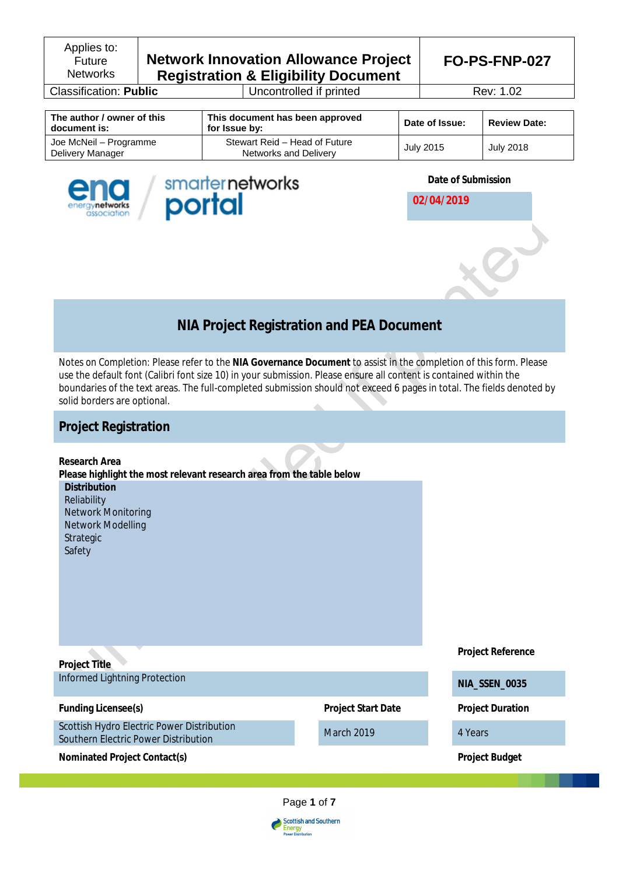Applies to: Future **Networks** 

# **Network Innovation Allowance Project Registration & Eligibility Document**

**Classification: Public** Uncontrolled if printed Rev: 1.02

**FO-PS-FNP-027**

2

| The author / owner of this<br>document is: | This document has been approved<br>for Issue by:       | Date of Issue: | <b>Review Date:</b> |
|--------------------------------------------|--------------------------------------------------------|----------------|---------------------|
| Joe McNeil – Programme<br>Delivery Manager | Stewart Reid - Head of Future<br>Networks and Delivery | July 2015      | July 2018           |





**Date of Submission**

**02/04/2019**

# **NIA Project Registration and PEA Document**

*Notes on Completion:* Please refer to the **NIA Governance Document** to assist in the completion of this form. Please use the default font (Calibri font size 10) in your submission. Please ensure all content is contained within the boundaries of the text areas. The full-completed submission should not exceed 6 pages in total. The fields denoted by solid borders are optional.

# **Project Registration**

| Research Area<br>Please highlight the most relevant research area from the table below<br><b>Distribution</b><br>Reliability<br>Network Monitoring<br>Network Modelling<br>Strategic<br>Safety |                           |                          |
|------------------------------------------------------------------------------------------------------------------------------------------------------------------------------------------------|---------------------------|--------------------------|
| Project Title                                                                                                                                                                                  |                           | <b>Project Reference</b> |
| Informed Lightning Protection                                                                                                                                                                  |                           | NIA_SSEN_0035            |
| <b>Funding Licensee(s)</b>                                                                                                                                                                     | <b>Project Start Date</b> | <b>Project Duration</b>  |
| Scottish Hydro Electric Power Distribution<br>Southern Electric Power Distribution                                                                                                             | March 2019                | 4 Years                  |
| Nominated Project Contact(s)                                                                                                                                                                   |                           | <b>Project Budget</b>    |
|                                                                                                                                                                                                |                           |                          |



Scottish and Southern<br>Energy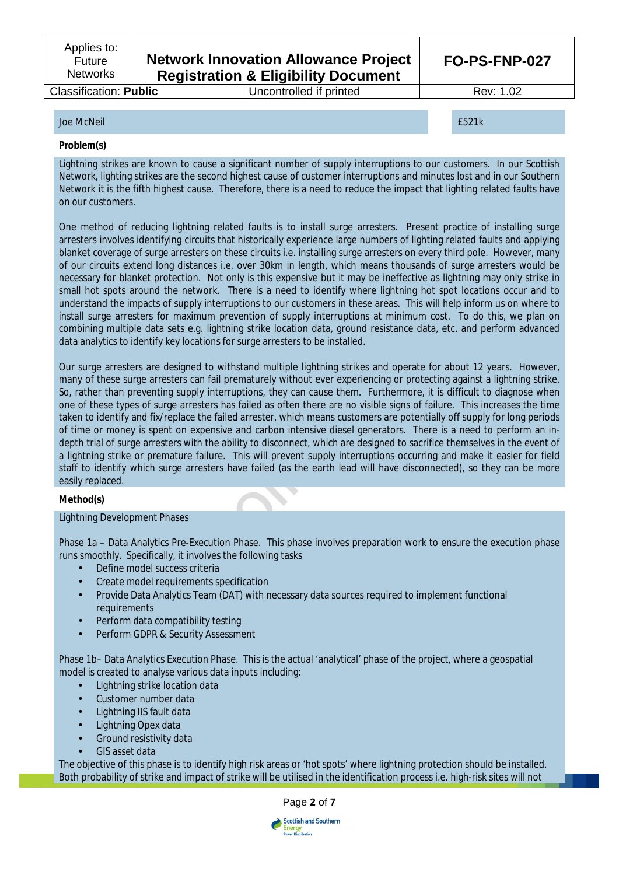# **Network Innovation Allowance Project Registration & Eligibility Document**

# Classification: **Public** Uncontrolled if printed Rev: 1.02

**FO-PS-FNP-027**

# Joe McNeil £521k

### **Problem(s)**

Lightning strikes are known to cause a significant number of supply interruptions to our customers. In our Scottish Network, lighting strikes are the second highest cause of customer interruptions and minutes lost and in our Southern Network it is the fifth highest cause. Therefore, there is a need to reduce the impact that lighting related faults have on our customers.

One method of reducing lightning related faults is to install surge arresters. Present practice of installing surge arresters involves identifying circuits that historically experience large numbers of lighting related faults and applying blanket coverage of surge arresters on these circuits i.e. installing surge arresters on every third pole. However, many of our circuits extend long distances i.e. over 30km in length, which means thousands of surge arresters would be necessary for blanket protection. Not only is this expensive but it may be ineffective as lightning may only strike in small hot spots around the network. There is a need to identify where lightning hot spot locations occur and to understand the impacts of supply interruptions to our customers in these areas. This will help inform us on where to install surge arresters for maximum prevention of supply interruptions at minimum cost. To do this, we plan on combining multiple data sets e.g. lightning strike location data, ground resistance data, etc. and perform advanced data analytics to identify key locations for surge arresters to be installed.

Our surge arresters are designed to withstand multiple lightning strikes and operate for about 12 years. However, many of these surge arresters can fail prematurely without ever experiencing or protecting against a lightning strike. So, rather than preventing supply interruptions, they can cause them. Furthermore, it is difficult to diagnose when one of these types of surge arresters has failed as often there are no visible signs of failure. This increases the time taken to identify and fix/replace the failed arrester, which means customers are potentially off supply for long periods of time or money is spent on expensive and carbon intensive diesel generators. There is a need to perform an indepth trial of surge arresters with the ability to disconnect, which are designed to sacrifice themselves in the event of a lightning strike or premature failure. This will prevent supply interruptions occurring and make it easier for field staff to identify which surge arresters have failed (as the earth lead will have disconnected), so they can be more easily replaced.

# **Method(s)**

Lightning Development Phases

Phase 1a – Data Analytics Pre-Execution Phase. This phase involves preparation work to ensure the execution phase runs smoothly. Specifically, it involves the following tasks

- Define model success criteria
- Create model requirements specification
- Provide Data Analytics Team (DAT) with necessary data sources required to implement functional requirements
- Perform data compatibility testing
- Perform GDPR & Security Assessment

Phase 1b– Data Analytics Execution Phase. This is the actual 'analytical' phase of the project, where a geospatial model is created to analyse various data inputs including:

- Lightning strike location data
- Customer number data
- Lightning IIS fault data
- Lightning Opex data
- Ground resistivity data
- GIS asset data

The objective of this phase is to identify high risk areas or 'hot spots' where lightning protection should be installed. Both probability of strike and impact of strike will be utilised in the identification process i.e. high-risk sites will not



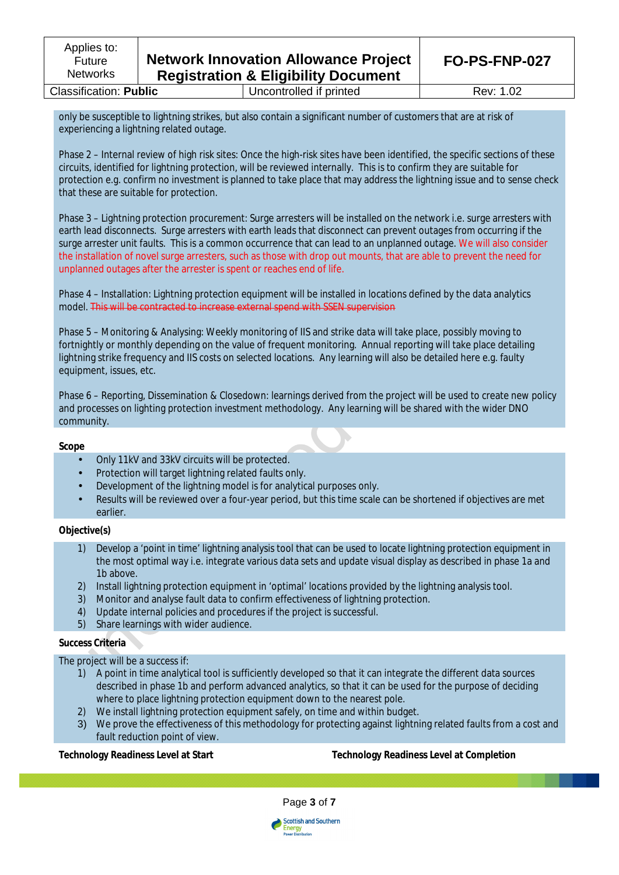**Classification: Public Uncontrolled if printed Rev: 1.02** 

only be susceptible to lightning strikes, but also contain a significant number of customers that are at risk of experiencing a lightning related outage.

Phase 2 – Internal review of high risk sites: Once the high-risk sites have been identified, the specific sections of these circuits, identified for lightning protection, will be reviewed internally. This is to confirm they are suitable for protection e.g. confirm no investment is planned to take place that may address the lightning issue and to sense check that these are suitable for protection.

Phase 3 – Lightning protection procurement: Surge arresters will be installed on the network i.e. surge arresters with earth lead disconnects. Surge arresters with earth leads that disconnect can prevent outages from occurring if the surge arrester unit faults. This is a common occurrence that can lead to an unplanned outage. We will also consider the installation of novel surge arresters, such as those with drop out mounts, that are able to prevent the need for unplanned outages after the arrester is spent or reaches end of life.

Phase 4 – Installation: Lightning protection equipment will be installed in locations defined by the data analytics model. This will be contracted to increase external spend with SSEN supervision

Phase 5 – Monitoring & Analysing: Weekly monitoring of IIS and strike data will take place, possibly moving to fortnightly or monthly depending on the value of frequent monitoring. Annual reporting will take place detailing lightning strike frequency and IIS costs on selected locations. Any learning will also be detailed here e.g. faulty equipment, issues, etc.

Phase 6 – Reporting, Dissemination & Closedown: learnings derived from the project will be used to create new policy and processes on lighting protection investment methodology. Any learning will be shared with the wider DNO community.

#### **Scope**

- Only 11kV and 33kV circuits will be protected.
- Protection will target lightning related faults only.
- Development of the lightning model is for analytical purposes only.
- Results will be reviewed over a four-year period, but this time scale can be shortened if objectives are met earlier.

## **Objective(s)**

- 1) Develop a 'point in time' lightning analysis tool that can be used to locate lightning protection equipment in the most optimal way i.e. integrate various data sets and update visual display as described in phase 1a and 1b above.
- 2) Install lightning protection equipment in 'optimal' locations provided by the lightning analysis tool.
- 3) Monitor and analyse fault data to confirm effectiveness of lightning protection.
- 4) Update internal policies and procedures if the project is successful.
- 5) Share learnings with wider audience.

# **Success Criteria**

The project will be a success if:

- 1) A point in time analytical tool is sufficiently developed so that it can integrate the different data sources described in phase 1b and perform advanced analytics, so that it can be used for the purpose of deciding where to place lightning protection equipment down to the nearest pole.
- 2) We install lightning protection equipment safely, on time and within budget.
- 3) We prove the effectiveness of this methodology for protecting against lightning related faults from a cost and fault reduction point of view.

# **Technology Readiness Level at Start Technology Readiness Level at Completion**



**Scottish and Southern** Energy<br>Power Distribution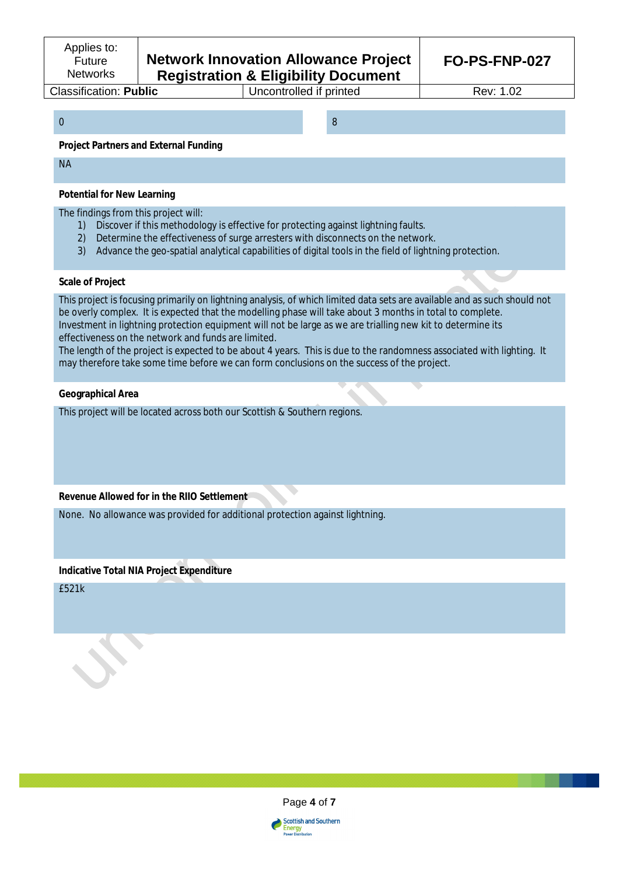# **Network Innovation Allowance Project Registration & Eligibility Document**

**Classification: Public** Uncontrolled if printed Rev: 1.02

0 8

### **Project Partners and External Funding**

NA

#### **Potential for New Learning**

### The findings from this project will:

- 1) Discover if this methodology is effective for protecting against lightning faults.
- 2) Determine the effectiveness of surge arresters with disconnects on the network.
- 3) Advance the geo-spatial analytical capabilities of digital tools in the field of lightning protection.

#### **Scale of Project**

This project is focusing primarily on lightning analysis, of which limited data sets are available and as such should not be overly complex. It is expected that the modelling phase will take about 3 months in total to complete. Investment in lightning protection equipment will not be large as we are trialling new kit to determine its effectiveness on the network and funds are limited.

The length of the project is expected to be about 4 years. This is due to the randomness associated with lighting. It may therefore take some time before we can form conclusions on the success of the project.

### **Geographical Area**

This project will be located across both our Scottish & Southern regions.

# **Revenue Allowed for in the RIIO Settlement**

None. No allowance was provided for additional protection against lightning.

# **Indicative Total NIA Project Expenditure**

£521k



**Scottish and Southern** Energy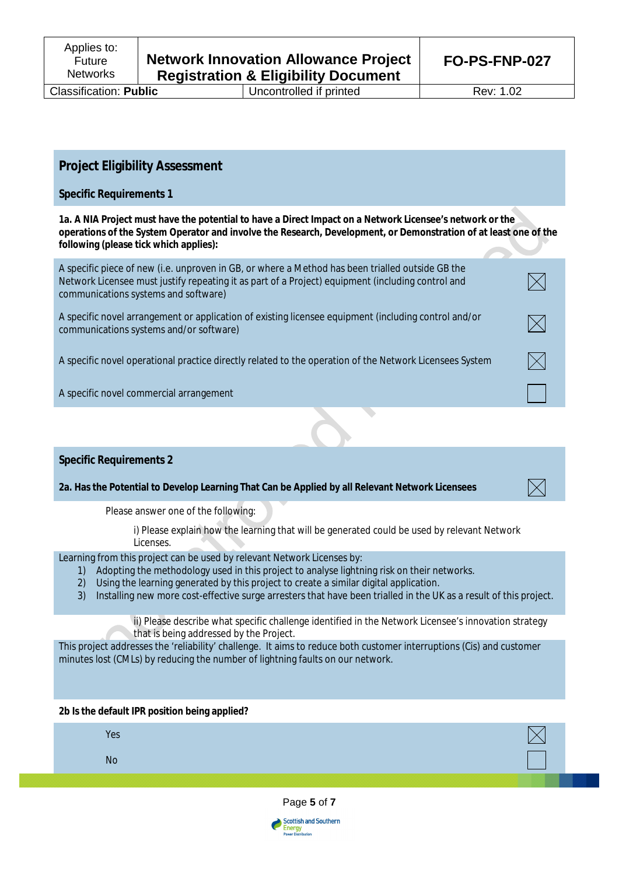**Classification: Public** Uncontrolled if printed Rev: 1.02

 $\boxtimes$ 

# **Project Eligibility Assessment**

# **Specific Requirements 1**

**1a. A NIA Project must have the potential to have a Direct Impact on a Network Licensee's network or the operations of the System Operator and involve the Research, Development, or Demonstration of at least one of the following (please tick which applies):**

| A specific piece of new (i.e. unproven in GB, or where a Method has been trialled outside GB the<br>Network Licensee must justify repeating it as part of a Project) equipment (including control and<br>communications systems and software) |  |
|-----------------------------------------------------------------------------------------------------------------------------------------------------------------------------------------------------------------------------------------------|--|
| A specific novel arrangement or application of existing licensee equipment (including control and/or<br>communications systems and/or software)                                                                                               |  |
| A specific novel operational practice directly related to the operation of the Network Licensees System                                                                                                                                       |  |
| A specific novel commercial arrangement                                                                                                                                                                                                       |  |
|                                                                                                                                                                                                                                               |  |

# **Specific Requirements 2**

**2a. Has the Potential to Develop Learning That Can be Applied by all Relevant Network Licensees**

Please answer one of the following:

i) Please explain how the learning that will be generated could be used by relevant Network Licenses.

# Learning from this project can be used by relevant Network Licenses by:

- 1) Adopting the methodology used in this project to analyse lightning risk on their networks.
- 2) Using the learning generated by this project to create a similar digital application.
- 3) Installing new more cost-effective surge arresters that have been trialled in the UK as a result of this project.

ii) Please describe what specific challenge identified in the Network Licensee's innovation strategy that is being addressed by the Project.

This project addresses the 'reliability' challenge. It aims to reduce both customer interruptions (Cis) and customer minutes lost (CMLs) by reducing the number of lightning faults on our network.

#### **2b Is the default IPR position being applied?**

Yes No



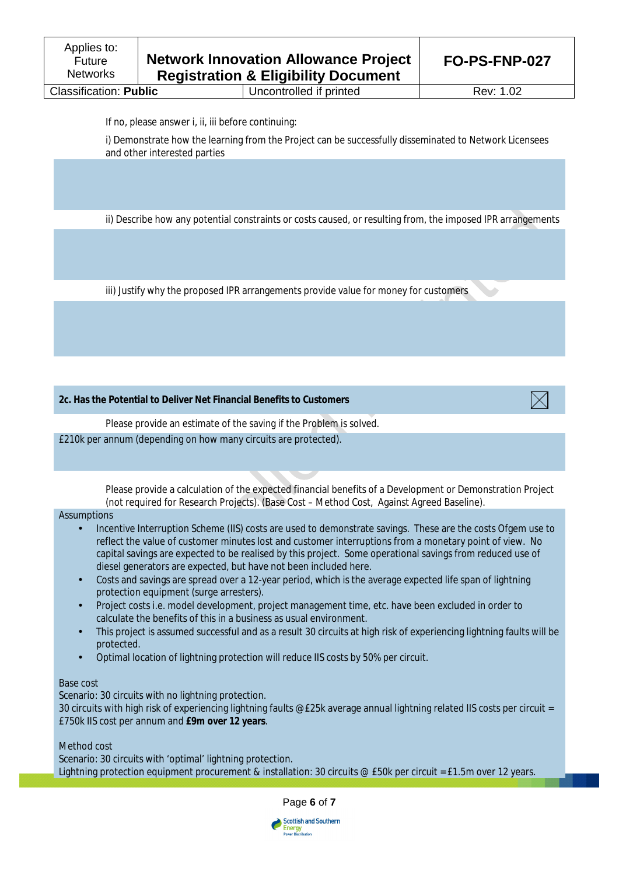**Classification: Public** Uncontrolled if printed Rev: 1.02

If no, please answer i, ii, iii before continuing:

i) Demonstrate how the learning from the Project can be successfully disseminated to Network Licensees and other interested parties

ii) Describe how any potential constraints or costs caused, or resulting from, the imposed IPR arrangements

iii) Justify why the proposed IPR arrangements provide value for money for customers

**2c. Has the Potential to Deliver Net Financial Benefits to Customers**



Please provide an estimate of the saving if the Problem is solved. £210k per annum (depending on how many circuits are protected).

> Please provide a calculation of the expected financial benefits of a Development or Demonstration Project (not required for Research Projects). (Base Cost – Method Cost, Against Agreed Baseline).

#### Assumptions

- Incentive Interruption Scheme (IIS) costs are used to demonstrate savings. These are the costs Ofgem use to reflect the value of customer minutes lost and customer interruptions from a monetary point of view. No capital savings are expected to be realised by this project. Some operational savings from reduced use of diesel generators are expected, but have not been included here.
- Costs and savings are spread over a 12-year period, which is the average expected life span of lightning protection equipment (surge arresters).
- Project costs i.e. model development, project management time, etc. have been excluded in order to calculate the benefits of this in a business as usual environment.
- This project is assumed successful and as a result 30 circuits at high risk of experiencing lightning faults will be protected.
- Optimal location of lightning protection will reduce IIS costs by 50% per circuit.

#### Base cost

Scenario: 30 circuits with no lightning protection.

30 circuits with high risk of experiencing lightning faults @£25k average annual lightning related IIS costs per circuit = £750k IIS cost per annum and **£9m over 12 years**.

Method cost

Scenario: 30 circuits with 'optimal' lightning protection. Lightning protection equipment procurement & installation: 30 circuits @ £50k per circuit = £1.5m over 12 years.